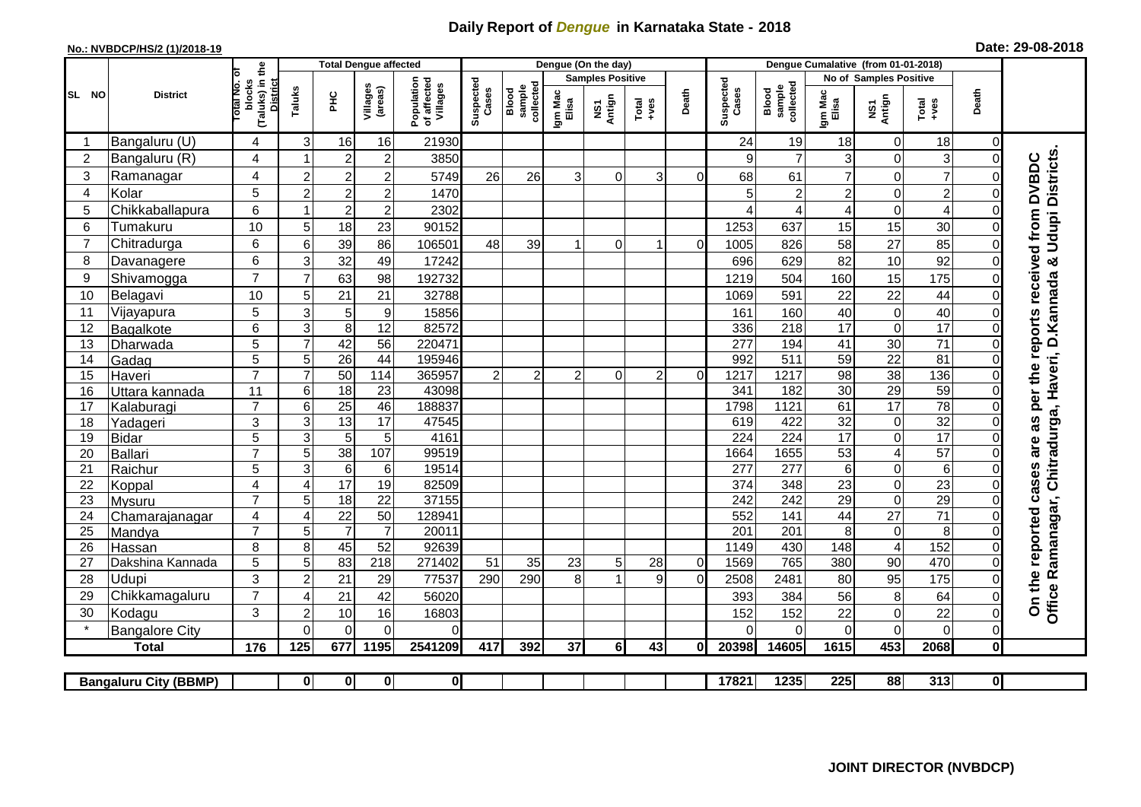## **Daily Report of** *Dengue* **in Karnataka State - 2018**

## **No.: NVBDCP/HS/2 (1)/2018-19 Date: 29-08-2018**

|                |                              |                                                              | <b>Total Dengue affected</b> |                     |                                       |                         |                              |                  |                         | Dengue (On the day) |       |                    |                              |                  |                        |                         |                 |                |                                                                                     |
|----------------|------------------------------|--------------------------------------------------------------|------------------------------|---------------------|---------------------------------------|-------------------------|------------------------------|------------------|-------------------------|---------------------|-------|--------------------|------------------------------|------------------|------------------------|-------------------------|-----------------|----------------|-------------------------------------------------------------------------------------|
|                |                              |                                                              |                              |                     |                                       |                         |                              |                  | <b>Samples Positive</b> |                     |       |                    |                              |                  | No of Samples Positive |                         |                 |                |                                                                                     |
| SL NO          | <b>District</b>              | (Taluks) in the<br>Total No. of<br>blocks<br><b>District</b> | Taluks<br>ЭHС                | Villages<br>(areas) | Population<br>of affected<br>Villages | Suspected<br>Cases      | sample<br>collected<br>Blood | Igm Mac<br>Elisa | NS1<br>Antign           | Total<br>$+ve$ s    | Death | Suspected<br>Cases | collected<br>sample<br>Blood | Igm Mac<br>Elisa | NS1<br>Antign          | $Tota$<br>$+ves$        | Death           |                |                                                                                     |
|                | Bangaluru (U)                | 4                                                            | 3                            | 16                  | 16                                    | 21930                   |                              |                  |                         |                     |       |                    | 24                           | 19               | 18                     | $\mathbf 0$             | 18              | $\overline{0}$ |                                                                                     |
| $\overline{2}$ | Bangaluru (R)                | 4                                                            |                              | $\overline{2}$      | $\overline{c}$                        | 3850                    |                              |                  |                         |                     |       |                    | 9                            | $\overline{7}$   | 3                      | $\Omega$                | 3               | $\Omega$       |                                                                                     |
| 3              | Ramanagar                    | 4                                                            | $\overline{2}$               | $\overline{2}$      | $\overline{c}$                        | 5749                    | 26                           | 26               | 3                       | 0                   | 3     | $\Omega$           | 68                           | 61               | $\overline{7}$         | 0                       | $\overline{7}$  | 0              | Office Ramanagar, Chitradurga, Haveri, D.Kannada & Udupi Districts.<br><b>DVBDC</b> |
| 4              | Kolar                        | 5                                                            | $\overline{c}$               | $\overline{2}$      | $\overline{c}$                        | 1470                    |                              |                  |                         |                     |       |                    |                              | $\overline{c}$   | $\overline{c}$         | $\mathbf 0$             | $\overline{c}$  | 0              |                                                                                     |
| 5              | Chikkaballapura              | 6                                                            |                              | $\overline{c}$      | $\overline{c}$                        | 2302                    |                              |                  |                         |                     |       |                    |                              | 4                | 4                      | $\boldsymbol{0}$        | $\overline{4}$  | 0              |                                                                                     |
| 6              | Tumakuru                     | 10                                                           | 5                            | 18                  | 23                                    | 90152                   |                              |                  |                         |                     |       |                    | 1253                         | 637              | 15                     | 15                      | 30              | 0              |                                                                                     |
| 7              | Chitradurga                  | 6                                                            | 6                            | 39                  | 86                                    | 106501                  | 48                           | 39               |                         | $\Omega$            | 1     | $\Omega$           | 1005                         | 826              | 58                     | 27                      | 85              | 0              |                                                                                     |
| 8              | Davanagere                   | 6                                                            | 3                            | 32                  | 49                                    | 17242                   |                              |                  |                         |                     |       |                    | 696                          | 629              | 82                     | 10                      | 92              | 0              |                                                                                     |
| 9              | Shivamogga                   | $\overline{7}$                                               | $\overline{7}$               | 63                  | 98                                    | 192732                  |                              |                  |                         |                     |       |                    | 1219                         | 504              | 160                    | 15                      | 175             | $\Omega$       |                                                                                     |
| 10             | Belagavi                     | 10                                                           | 5                            | 21                  | 21                                    | 32788                   |                              |                  |                         |                     |       |                    | 1069                         | 591              | 22                     | 22                      | 44              | $\Omega$       | per the reports received from                                                       |
| 11             | Vijayapura                   | 5                                                            | 3                            | 5                   | $\boldsymbol{9}$                      | 15856                   |                              |                  |                         |                     |       |                    | 161                          | 160              | 40                     | $\boldsymbol{0}$        | 40              | $\Omega$       |                                                                                     |
| 12             | Bagalkote                    | 6                                                            | 3                            | 8                   | $\overline{12}$                       | 82572                   |                              |                  |                         |                     |       |                    | 336                          | 218              | $\overline{17}$        | $\mathbf 0$             | 17              | $\Omega$       |                                                                                     |
| 13             | Dharwada                     | $\overline{5}$                                               | $\overline{7}$               | 42                  | 56                                    | 220471                  |                              |                  |                         |                     |       |                    | 277                          | 194              | $\overline{41}$        | 30                      | $\overline{71}$ | $\Omega$       |                                                                                     |
| 14             | Gadag                        | $\overline{5}$                                               | 5                            | $\overline{26}$     | 44                                    | 195946                  |                              |                  |                         |                     |       |                    | 992                          | 511              | 59                     | $\overline{22}$         | 81              | $\Omega$       |                                                                                     |
| 15             | Haveri                       | $\overline{7}$                                               | $\overline{7}$               | 50                  | 114                                   | 365957                  | $\overline{c}$               | $\overline{2}$   | $\overline{2}$          | $\Omega$            | 2     | $\Omega$           | 1217                         | 1217             | 98                     | $\overline{38}$         | 136             | $\overline{0}$ |                                                                                     |
| 16             | Uttara kannada               | $\overline{11}$                                              | 6                            | $\overline{18}$     | $\overline{23}$                       | 43098                   |                              |                  |                         |                     |       |                    | 341                          | 182              | $\overline{30}$        | 29                      | 59              | 0              |                                                                                     |
| 17             | Kalaburagi                   | $\overline{7}$                                               | 6                            | $\overline{25}$     | 46                                    | 188837                  |                              |                  |                         |                     |       |                    | 1798                         | 1121             | 61                     | 17                      | 78              | 0              |                                                                                     |
| 18             | Yadageri                     | 3                                                            | 3                            | 13                  | 17                                    | 47545                   |                              |                  |                         |                     |       |                    | 619                          | 422              | 32                     | $\pmb{0}$               | 32              | 0              | as                                                                                  |
| 19             | Bidar                        | $\overline{5}$                                               | 3                            | 5                   | 5                                     | 4161                    |                              |                  |                         |                     |       |                    | 224                          | $\overline{224}$ | 17                     | $\mathbf 0$             | $\overline{17}$ | $\Omega$       | are                                                                                 |
| 20             | Ballari                      | $\overline{7}$                                               | 5                            | 38                  | 107                                   | 99519                   |                              |                  |                         |                     |       |                    | 1664                         | 1655             | 53                     | $\overline{\mathbf{4}}$ | 57              | $\Omega$       |                                                                                     |
| 21             | Raichur                      | $\overline{5}$                                               | $\overline{3}$               | $\overline{6}$      | $\,6$                                 | 19514                   |                              |                  |                         |                     |       |                    | 277                          | 277              | $\overline{6}$         | $\mathbf 0$             | $\overline{6}$  | 0              |                                                                                     |
| 22             | Koppal                       | 4                                                            | $\overline{A}$               | 17                  | 19                                    | 82509                   |                              |                  |                         |                     |       |                    | 374                          | 348              | 23                     | $\boldsymbol{0}$        | $\overline{23}$ | $\Omega$       |                                                                                     |
| 23             | Mysuru                       | $\overline{7}$                                               | 5                            | 18                  | $\overline{22}$                       | 37155                   |                              |                  |                         |                     |       |                    | 242                          | $\overline{242}$ | $\overline{29}$        | $\mathbf 0$             | 29              | 0              |                                                                                     |
| 24             | Chamarajanagar               | 4                                                            | $\overline{4}$               | $\overline{22}$     | 50                                    | 128941                  |                              |                  |                         |                     |       |                    | 552                          | 141              | 44                     | $\overline{27}$         | $\overline{71}$ | $\Omega$       |                                                                                     |
| 25             | Mandya                       | $\overline{7}$                                               | 5                            | $\overline{7}$      | $\overline{7}$                        | 20011                   |                              |                  |                         |                     |       |                    | $\overline{201}$             | $\overline{201}$ | 8                      | $\boldsymbol{0}$        | 8               | $\Omega$       |                                                                                     |
| 26             | Hassan                       | 8                                                            | 8                            | 45                  | 52                                    | 92639                   |                              |                  |                         |                     |       |                    | 1149                         | 430              | 148                    | 4                       | 152             | $\Omega$       |                                                                                     |
| 27             | Dakshina Kannada             | 5                                                            | 5                            | 83                  | 218                                   | 271402                  | 51                           | 35               | 23                      | 5                   | 28    | $\overline{0}$     | 1569                         | 765              | 380                    | $\overline{90}$         | 470             | $\Omega$       |                                                                                     |
| 28             | Udupi                        | 3                                                            | $\overline{2}$               | 21                  | 29                                    | 77537                   | 290                          | 290              | 8                       |                     | 9     | $\Omega$           | 2508                         | 2481             | 80                     | 95                      | 175             | $\Omega$       |                                                                                     |
| 29             | Chikkamagaluru               | $\overline{7}$                                               | ⊿                            | 21                  | 42                                    | 56020                   |                              |                  |                         |                     |       |                    | 393                          | 384              | 56                     | 8                       | 64              | $\Omega$       | On the reported cases                                                               |
| 30             | Kodagu                       | 3                                                            | $\overline{c}$               | 10                  | 16                                    | 16803                   |                              |                  |                         |                     |       |                    | 152                          | 152              | 22                     | $\mathbf 0$             | 22              | $\overline{0}$ |                                                                                     |
|                | <b>Bangalore City</b>        |                                                              | $\Omega$                     | $\Omega$            | $\Omega$                              | $\Omega$                |                              |                  |                         |                     |       |                    |                              | $\Omega$         | 0                      | 0                       | $\Omega$        | $\overline{0}$ |                                                                                     |
|                | <b>Total</b>                 | 176                                                          | 125                          | 677                 | 1195                                  | 2541209                 | 417                          | 392              | 37                      | 6 <sup>1</sup>      | 43    | ΩI                 | 20398                        | 14605            | 1615                   | 453                     | 2068            | $\mathbf{0}$   |                                                                                     |
|                |                              |                                                              |                              |                     |                                       |                         |                              |                  |                         |                     |       |                    |                              |                  |                        |                         |                 |                |                                                                                     |
|                | <b>Bangaluru City (BBMP)</b> |                                                              | $\mathbf{0}$                 | $\mathbf{0}$        | $\mathbf{0}$                          | $\overline{\mathbf{0}}$ |                              |                  |                         |                     |       |                    | 17821                        | 1235             | 225                    | 88                      | 313             | $\overline{0}$ |                                                                                     |